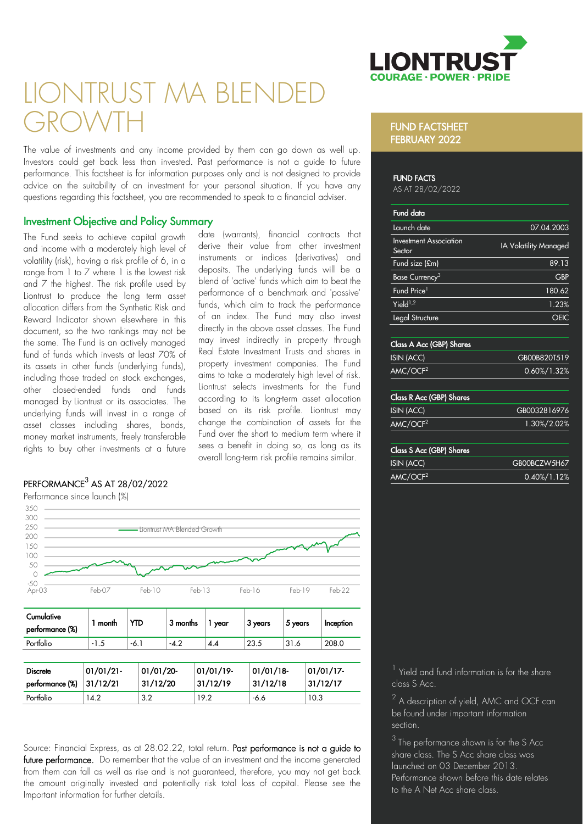

# IONTRUST MA BLFI GROWTH

The value of investments and any income provided by them can go down as well up. Investors could get back less than invested. Past performance is not a guide to future performance. This factsheet is for information purposes only and is not designed to provide advice on the suitability of an investment for your personal situation. If you have any questions regarding this factsheet, you are recommended to speak to a financial adviser.

# Investment Objective and Policy Summary

The Fund seeks to achieve capital growth and income with a moderately high level of volatility (risk), having a risk profile of 6, in a range from 1 to 7 where 1 is the lowest risk and 7 the highest. The risk profile used by Liontrust to produce the long term asset allocation differs from the Synthetic Risk and Reward Indicator shown elsewhere in this document, so the two rankings may not be the same. The Fund is an actively managed fund of funds which invests at least 70% of its assets in other funds (underlying funds), including those traded on stock exchanges, other closed-ended funds and funds managed by Liontrust or its associates. The underlying funds will invest in a range of asset classes including shares, bonds, money market instruments, freely transferable rights to buy other investments at a future

## date (warrants), financial contracts that derive their value from other investment instruments or indices (derivatives) and deposits. The underlying funds will be a blend of 'active' funds which aim to beat the performance of a benchmark and 'passive' funds, which aim to track the performance of an index. The Fund may also invest directly in the above asset classes. The Fund may invest indirectly in property through Real Estate Investment Trusts and shares in property investment companies. The Fund aims to take a moderately high level of risk. Liontrust selects investments for the Fund according to its long-term asset allocation based on its risk profile. Liontrust may change the combination of assets for the Fund over the short to medium term where it sees a benefit in doing so, as long as its overall long-term risk profile remains similar.

# $\mathsf{PERFORMANCE}^3$  AS AT 28/02/2022

Performance since launch (%)



Source: Financial Express, as at 28.02.22, total return. Past performance is not a guide to future performance. Do remember that the value of an investment and the income generated from them can fall as well as rise and is not guaranteed, therefore, you may not get back the amount originally invested and potentially risk total loss of capital. Please see the Important information for further details.

Portfolio 14.2 3.2 19.2 +6.6 10.3

### FUND FACTSHEET FEBRUARY 2022

#### FUND FACTS

AS AT 28/02/2022

| <b>Fund data</b>                        |                       |
|-----------------------------------------|-----------------------|
| Launch date                             | 07.04.2003            |
| <b>Investment Association</b><br>Sector | IA Volatility Managed |
| Fund size (£m)                          | 89.13                 |
| Base Currency <sup>3</sup>              | <b>GBP</b>            |
| Fund Price <sup>1</sup>                 | 180.62                |
| Yield <sup>1,2</sup>                    | 1.23%                 |
| Legal Structure                         |                       |
|                                         |                       |

#### Class A Acc (GBP) Shares

| ISIN (ACC)           | GB00B820T519    |
|----------------------|-----------------|
| AMC/OCF <sup>2</sup> | $0.60\%/1.32\%$ |

### Class R Acc (GBP) Shares

| ISIN (ACC)           | GB0032816976 |
|----------------------|--------------|
| AMC/OCF <sup>2</sup> | 1.30%/2.02%  |

#### Class S Acc (GBP) Shares

| ISIN (ACC)           | GB00BCZW5H67    |
|----------------------|-----------------|
| AMC/OCF <sup>2</sup> | $0.40\%/1.12\%$ |

<sup>1</sup> Yield and fund information is for the share class S Acc.

 $^2$  A description of yield, AMC and OCF can be found under important information section.

 $3$  The performance shown is for the S Acc share class. The S Acc share class was launched on 03 December 2013. Performance shown before this date relates to the A Net Acc share class.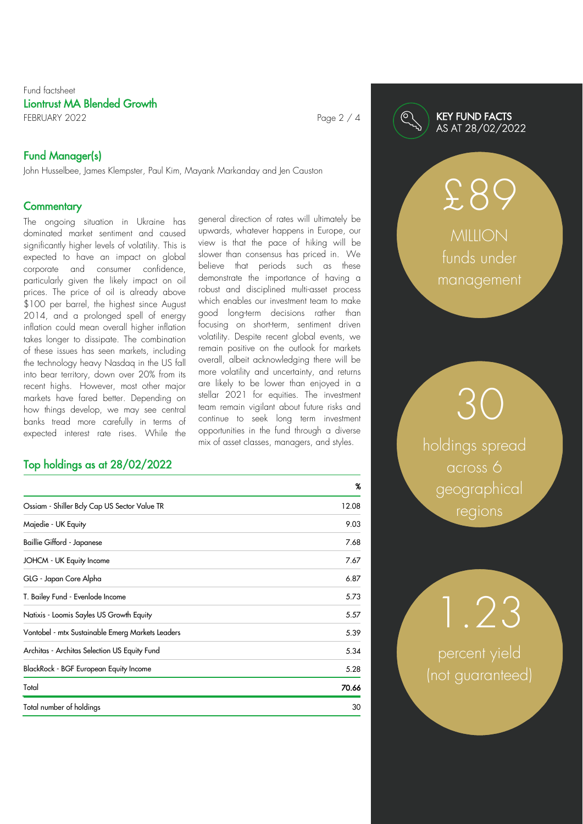# Fund factsheet Liontrust MA Blended Growth FEBRUARY 2022 **Page 2 / 4**

# Fund Manager(s)

John Husselbee, James Klempster, Paul Kim, Mayank Markanday and Jen Causton

# **Commentary**

The ongoing situation in Ukraine has dominated market sentiment and caused significantly higher levels of volatility. This is expected to have an impact on global corporate and consumer confidence, particularly given the likely impact on oil prices. The price of oil is already above \$100 per barrel, the highest since August 2014, and a prolonged spell of energy inflation could mean overall higher inflation takes longer to dissipate. The combination of these issues has seen markets, including the technology heavy Nasdaq in the US fall into bear territory, down over 20% from its recent highs. However, most other major markets have fared better. Depending on how things develop, we may see central banks tread more carefully in terms of expected interest rate rises. While the

# Top holdings as at 28/02/2022

general direction of rates will ultimately be upwards, whatever happens in Europe, our view is that the pace of hiking will be slower than consensus has priced in. We believe that periods such as these demonstrate the importance of having a robust and disciplined multi-asset process which enables our investment team to make good long-term decisions rather than focusing on short-term, sentiment driven volatility. Despite recent global events, we remain positive on the outlook for markets overall, albeit acknowledging there will be more volatility and uncertainty, and returns are likely to be lower than enjoyed in a stellar 2021 for equities. The investment team remain vigilant about future risks and continue to seek long term investment opportunities in the fund through a diverse mix of asset classes, managers, and styles.

|                                                  | %     |
|--------------------------------------------------|-------|
| Ossiam - Shiller Bely Cap US Sector Value TR     | 12.08 |
| Majedie - UK Equity                              | 9.03  |
| Baillie Gifford - Japanese                       | 7.68  |
| JOHCM - UK Equity Income                         | 7.67  |
| GLG - Japan Core Alpha                           | 6.87  |
| T. Bailey Fund - Evenlode Income                 | 5.73  |
| Natixis - Loomis Sayles US Growth Equity         | 5.57  |
| Vontobel - mtx Sustainable Emerg Markets Leaders | 5.39  |
| Architas - Architas Selection US Equity Fund     | 5.34  |
| BlackRock - BGF European Equity Income           | 5.28  |
| Total                                            | 70.66 |
| Total number of holdings                         | 30    |

# KEY FUND FACTS AS AT 28/02/2022

**MILLION** funds under management

£89

holdings spread across 6 geographical regions

30

percent yield (not guaranteed)

1.23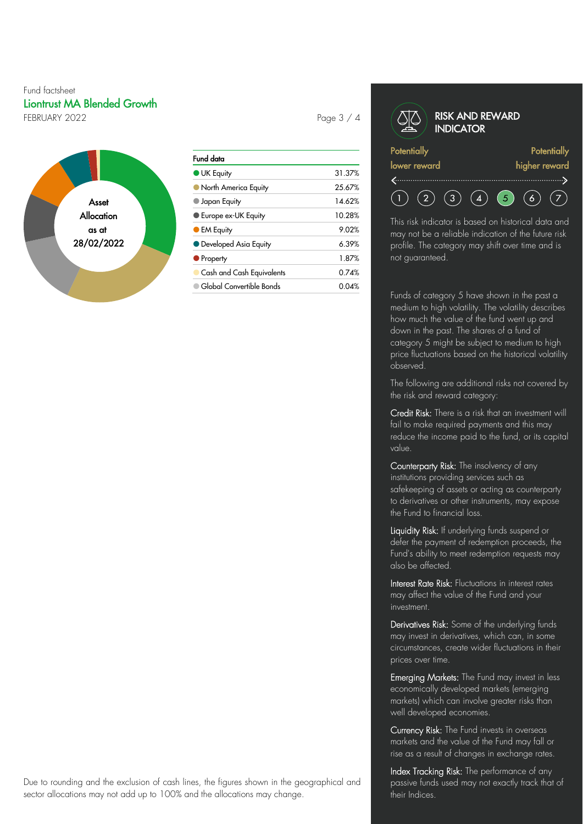# Fund factsheet Liontrust MA Blended Growth FEBRUARY 2022 **Page 3 / 4**



| Fund data                   |        |
|-----------------------------|--------|
| <b>UK Equity</b>            | 31.37% |
| North America Equity        | 25.67% |
| $\blacksquare$ Japan Equity | 14.62% |
| <b>Europe ex-UK Equity</b>  | 10.28% |
| <b>CEM Equity</b>           | 9.02%  |
| • Developed Asia Equity     | 6.39%  |
| • Property                  | 1.87%  |
| Cash and Cash Equivalents   | 0.74%  |
| Global Convertible Bonds    | 0.04%  |

#### RISK AND REWARD **INDICATOR Potentially Potentially** lower reward higher reward f...........................  $(2)$  $(3)$  $(4)$  $\left( 5\right)$  $(6)$  $\left( 5\right)$

This risk indicator is based on historical data and may not be a reliable indication of the future risk profile. The category may shift over time and is not guaranteed.

Funds of category 5 have shown in the past a medium to high volatility. The volatility describes how much the value of the fund went up and down in the past. The shares of a fund of category 5 might be subject to medium to high price fluctuations based on the historical volatility observed.

The following are additional risks not covered by the risk and reward category:

Credit Risk: There is a risk that an investment will fail to make required payments and this may reduce the income paid to the fund, or its capital value.

Counterparty Risk: The insolvency of any institutions providing services such as safekeeping of assets or acting as counterparty to derivatives or other instruments, may expose the Fund to financial loss.

Liquidity Risk: If underlying funds suspend or defer the payment of redemption proceeds, the Fund's ability to meet redemption requests may also be affected.

Interest Rate Risk: Fluctuations in interest rates may affect the value of the Fund and your investment.

Derivatives Risk: Some of the underlying funds may invest in derivatives, which can, in some circumstances, create wider fluctuations in their prices over time.

Emerging Markets: The Fund may invest in less economically developed markets (emerging markets) which can involve greater risks than well developed economies.

Currency Risk: The Fund invests in overseas markets and the value of the Fund may fall or rise as a result of changes in exchange rates.

Index Tracking Risk: The performance of any passive funds used may not exactly track that of their Indices.

Due to rounding and the exclusion of cash lines, the figures shown in the geographical and sector allocations may not add up to 100% and the allocations may change.